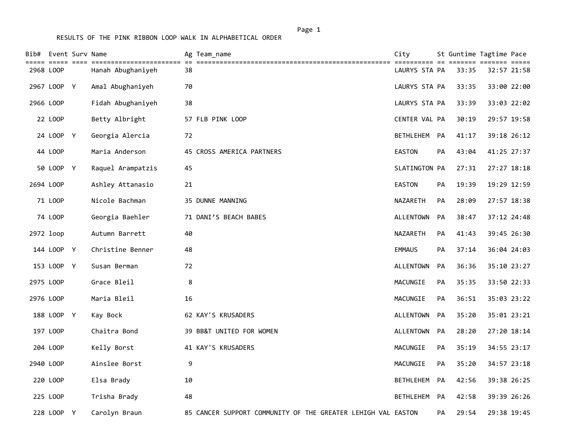|           | Bib# Event Surv Name<br>===== ==== |                   | Ag Team_name                                                 | City             |           | ======= ======= | St Guntime Tagtime Pace |
|-----------|------------------------------------|-------------------|--------------------------------------------------------------|------------------|-----------|-----------------|-------------------------|
| 2968 LOOP |                                    | Hanah Abughaniyeh | 38                                                           | LAURYS STA PA    |           | 33:35           | 32:57 21:58             |
|           | 2967 LOOP Y                        | Amal Abughaniyeh  | 70                                                           | LAURYS STA PA    |           | 33:35           | 33:00 22:00             |
| 2966 LOOP |                                    | Fidah Abughaniyeh | 38                                                           | LAURYS STA PA    |           | 33:39           | 33:03 22:02             |
|           | 22 LOOP                            | Betty Albright    | 57 FLB PINK LOOP                                             | CENTER VAL PA    |           | 30:19           | 29:57 19:58             |
|           | 24 LOOP Y                          | Georgia Alercia   | 72                                                           | BETHLEHEM        | <b>PA</b> | 41:17           | 39:18 26:12             |
|           | 44 LOOP                            | Maria Anderson    | 45 CROSS AMERICA PARTNERS                                    | EASTON           | PA        | 43:04           | 41:25 27:37             |
|           | 50 LOOP Y                          | Raquel Arampatzis | 45                                                           | SLATINGTON PA    |           | 27:31           | 27:27 18:18             |
| 2694 LOOP |                                    | Ashley Attanasio  | 21                                                           | EASTON           | PA        | 19:39           | 19:29 12:59             |
|           | 71 LOOP                            | Nicole Bachman    | 35 DUNNE MANNING                                             | <b>NAZARETH</b>  | PA        | 28:09           | 27:57 18:38             |
|           | 74 LOOP                            | Georgia Baehler   | 71 DANI'S BEACH BABES                                        | <b>ALLENTOWN</b> | PA        | 38:47           | 37:12 24:48             |
| 2972 loop |                                    | Autumn Barrett    | 40                                                           | NAZARETH         | PA        | 41:43           | 39:45 26:30             |
|           | 144 LOOP Y                         | Christine Benner  | 48                                                           | <b>EMMAUS</b>    | PA        | 37:14           | 36:04 24:03             |
|           | 153 LOOP Y                         | Susan Berman      | 72                                                           | ALLENTOWN        | PA        | 36:36           | 35:10 23:27             |
| 2975 LOOP |                                    | Grace Bleil       | 8                                                            | MACUNGIE         | <b>PA</b> | 35:35           | 33:50 22:33             |
| 2976 LOOP |                                    | Maria Bleil       | 16                                                           | MACUNGIE         | PA        | 36:51           | 35:03 23:22             |
|           | 188 LOOP Y                         | Kay Bock          | 62 KAY'S KRUSADERS                                           | ALLENTOWN        | <b>PA</b> | 35:20           | 35:01 23:21             |
|           | 197 LOOP                           | Chaitra Bond      | 39 BB&T UNITED FOR WOMEN                                     | ALLENTOWN        | PA        | 28:20           | 27:20 18:14             |
|           | 204 LOOP                           | Kelly Borst       | 41 KAY'S KRUSADERS                                           | MACUNGIE         | PA        | 35:19           | 34:55 23:17             |
| 2940 LOOP |                                    | Ainslee Borst     | 9                                                            | MACUNGIE         | PA        | 35:20           | 34:57 23:18             |
|           | 220 LOOP                           | Elsa Brady        | 10                                                           | BETHLEHEM        | <b>PA</b> | 42:56           | 39:38 26:25             |
|           | 225 LOOP                           | Trisha Brady      | 48                                                           | BETHLEHEM        | PA        | 42:58           | 39:39 26:26             |
|           | 228 LOOP Y                         | Carolyn Braun     | 85 CANCER SUPPORT COMMUNITY OF THE GREATER LEHIGH VAL EASTON |                  | PA        | 29:54           | 29:38 19:45             |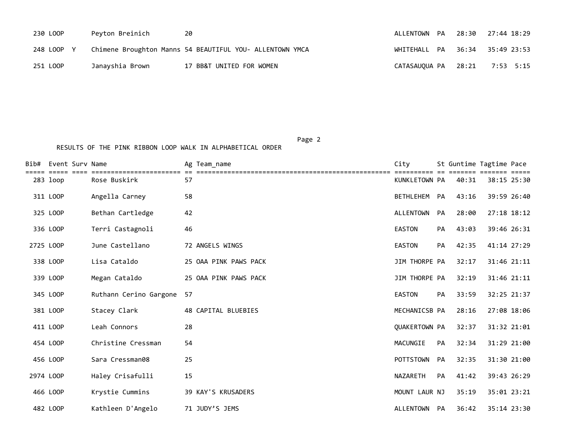| 230 LOOP   | Peyton Breinich | -20                                                      | ALLENTOWN PA  28:30  27:44  18:29 |           |
|------------|-----------------|----------------------------------------------------------|-----------------------------------|-----------|
| 248 LOOP Y |                 | Chimene Broughton Manns 54 BEAUTIFUL YOU- ALLENTOWN YMCA | WHITEHALL PA 36:34 35:49 23:53    |           |
| 251 LOOP   | Janayshia Brown | 17 BB&T UNITED FOR WOMEN                                 | CATASAUOUA PA 28:21               | 7:53 5:15 |

Page 2 (2012) 2014 12:30:40 (2012) 2014 12:30:40 (2012) 2014 12:30:40 (2012) 2014 12:30:40 (2012) 2014 12:30:40

RESULTS OF THE PINK RIBBON LOOP WALK IN ALPHABETICAL ORDER

| Bib#      | Event Surv Name |                        | Ag Team name          | City          |           |       | St Guntime Tagtime Pace |
|-----------|-----------------|------------------------|-----------------------|---------------|-----------|-------|-------------------------|
|           | 283 loop        | Rose Buskirk           | 57                    | KUNKLETOWN PA |           | 40:31 | 38:15 25:30             |
|           | 311 LOOP        | Angella Carney         | 58                    | BETHLEHEM     | PA        | 43:16 | 39:59 26:40             |
|           | 325 LOOP        | Bethan Cartledge       | 42                    | ALLENTOWN     | PA        | 28:00 | 27:18 18:12             |
|           | 336 LOOP        | Terri Castagnoli       | 46                    | <b>EASTON</b> | PA        | 43:03 | 39:46 26:31             |
| 2725 LOOP |                 | June Castellano        | 72 ANGELS WINGS       | EASTON        | <b>PA</b> | 42:35 | 41:14 27:29             |
|           | 338 LOOP        | Lisa Cataldo           | 25 OAA PINK PAWS PACK | JIM THORPE PA |           | 32:17 | 31:46 21:11             |
|           | 339 LOOP        | Megan Cataldo          | 25 OAA PINK PAWS PACK | JIM THORPE PA |           | 32:19 | 31:46 21:11             |
|           | 345 LOOP        | Ruthann Cerino Gargone | 57                    | <b>EASTON</b> | <b>PA</b> | 33:59 | 32:25 21:37             |
|           | 381 LOOP        | Stacey Clark           | 48 CAPITAL BLUEBIES   | MECHANICSB PA |           | 28:16 | 27:08 18:06             |
|           | 411 LOOP        | Leah Connors           | 28                    | QUAKERTOWN PA |           | 32:37 | 31:32 21:01             |
|           | 454 LOOP        | Christine Cressman     | 54                    | MACUNGIE      | PA        | 32:34 | 31:29 21:00             |
|           | 456 LOOP        | Sara Cressman08        | 25                    | POTTSTOWN     | PA        | 32:35 | 31:30 21:00             |
| 2974 LOOP |                 | Haley Crisafulli       | 15                    | NAZARETH      | PA        | 41:42 | 39:43 26:29             |
|           | 466 LOOP        | Krystie Cummins        | 39 KAY'S KRUSADERS    | MOUNT LAUR NJ |           | 35:19 | 35:01 23:21             |
|           | 482 LOOP        | Kathleen D'Angelo      | 71 JUDY'S JEMS        | ALLENTOWN PA  |           | 36:42 | 35:14 23:30             |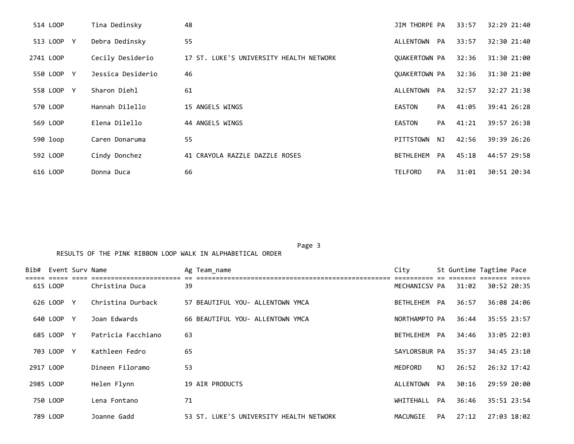| 514 LOOP   | Tina Dedinsky     | 48                                      | JIM THORPE PA        |    | 33:57 | 32:29 21:40 |
|------------|-------------------|-----------------------------------------|----------------------|----|-------|-------------|
| 513 LOOP Y | Debra Dedinsky    | 55                                      | ALLENTOWN PA         |    | 33:57 | 32:30 21:40 |
| 2741 LOOP  | Cecily Desiderio  | 17 ST. LUKE'S UNIVERSITY HEALTH NETWORK | QUAKERTOWN PA        |    | 32:36 | 31:30 21:00 |
| 550 LOOP Y | Jessica Desiderio | 46                                      | <b>OUAKERTOWN PA</b> |    | 32:36 | 31:30 21:00 |
| 558 LOOP Y | Sharon Diehl      | 61                                      | ALLENTOWN PA         |    | 32:57 | 32:27 21:38 |
| 570 LOOP   | Hannah Dilello    | 15 ANGELS WINGS                         | <b>EASTON</b>        | PA | 41:05 | 39:41 26:28 |
| 569 LOOP   | Elena Dilello     | 44 ANGELS WINGS                         | <b>EASTON</b>        | PA | 41:21 | 39:57 26:38 |
| 590 loop   | Caren Donaruma    | 55                                      | PITTSTOWN            | NJ | 42:56 | 39:39 26:26 |
| 592 LOOP   | Cindy Donchez     | 41 CRAYOLA RAZZLE DAZZLE ROSES          | BETHLEHEM            | PA | 45:18 | 44:57 29:58 |
| 616 LOOP   | Donna Duca        | 66                                      | <b>TELFORD</b>       | PA | 31:01 | 30:51 20:34 |

Page 3 and 2012 and 2012 and 2012 and 2012 and 2012 and 2012 and 2012 and 2012 and 2012 and 2012 and 2012 and

| Bib# Event Surv Name |            |   |                    | Ag Team name                            | City          |     | St Guntime Tagtime Pace |             |  |
|----------------------|------------|---|--------------------|-----------------------------------------|---------------|-----|-------------------------|-------------|--|
|                      | 615 LOOP   |   | Christina Duca     | 39                                      | MECHANICSV PA |     | 31:02                   | 30:52 20:35 |  |
|                      | 626 LOOP Y |   | Christina Durback  | 57 BEAUTIFUL YOU- ALLENTOWN YMCA        | BETHLEHEM PA  |     | 36:57                   | 36:08 24:06 |  |
|                      | 640 LOOP   | Y | Joan Edwards       | 66 BEAUTIFUL YOU- ALLENTOWN YMCA        | NORTHAMPTO PA |     | 36:44                   | 35:55 23:57 |  |
|                      | 685 LOOP Y |   | Patricia Facchiano | 63                                      | BETHLEHEM PA  |     | 34:46                   | 33:05 22:03 |  |
|                      | 703 LOOP Y |   | Kathleen Fedro     | 65                                      | SAYLORSBUR PA |     | 35:37                   | 34:45 23:10 |  |
| 2917 LOOP            |            |   | Dineen Filoramo    | 53                                      | MEDFORD       | NJ. | 26:52                   | 26:32 17:42 |  |
| 2985 LOOP            |            |   | Helen Flynn        | 19 AIR PRODUCTS                         | ALLENTOWN     | PA  | 30:16                   | 29:59 20:00 |  |
|                      | 750 LOOP   |   | Lena Fontano       | 71                                      | WHITEHALL PA  |     | 36:46                   | 35:51 23:54 |  |
|                      | 789 LOOP   |   | Joanne Gadd        | 53 ST. LUKE'S UNIVERSITY HEALTH NETWORK | MACUNGIE      | PA  | 27:12                   | 27:03 18:02 |  |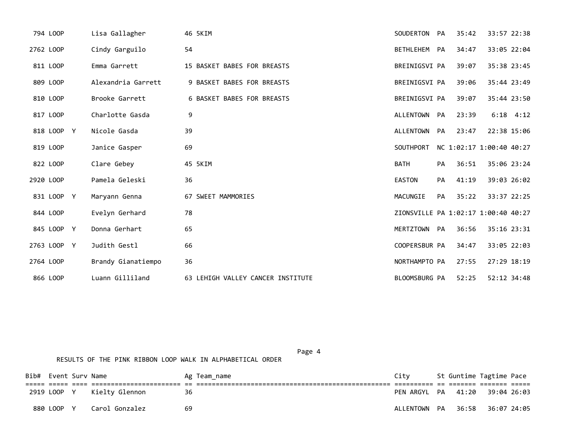| 794 LOOP    | Lisa Gallagher     | 46 5KIM                           | SOUDERTON PA     |           | 35:42 | 33:57 22:38                         |
|-------------|--------------------|-----------------------------------|------------------|-----------|-------|-------------------------------------|
| 2762 LOOP   | Cindy Garguilo     | 54                                | BETHLEHEM PA     |           | 34:47 | 33:05 22:04                         |
| 811 LOOP    | Emma Garrett       | 15 BASKET BABES FOR BREASTS       | BREINIGSVI PA    |           | 39:07 | 35:38 23:45                         |
| 809 LOOP    | Alexandria Garrett | 9 BASKET BABES FOR BREASTS        | BREINIGSVI PA    |           | 39:06 | 35:44 23:49                         |
| 810 LOOP    | Brooke Garrett     | 6 BASKET BABES FOR BREASTS        | BREINIGSVI PA    |           | 39:07 | 35:44 23:50                         |
| 817 LOOP    | Charlotte Gasda    | 9                                 | ALLENTOWN PA     |           | 23:39 | $6:18$ $4:12$                       |
| 818 LOOP Y  | Nicole Gasda       | 39                                | ALLENTOWN PA     |           | 23:47 | 22:38 15:06                         |
| 819 LOOP    | Janice Gasper      | 69                                | <b>SOUTHPORT</b> |           |       | NC 1:02:17 1:00:40 40:27            |
| 822 LOOP    | Clare Gebey        | 45 5KIM                           | <b>BATH</b>      | PA        | 36:51 | 35:06 23:24                         |
| 2920 LOOP   | Pamela Geleski     | 36                                | <b>EASTON</b>    | PA        | 41:19 | 39:03 26:02                         |
| 831 LOOP Y  | Maryann Genna      | 67 SWEET MAMMORIES                | MACUNGIE         | <b>PA</b> | 35:22 | 33:37 22:25                         |
| 844 LOOP    | Evelyn Gerhard     | 78                                |                  |           |       | ZIONSVILLE PA 1:02:17 1:00:40 40:27 |
| 845 LOOP Y  | Donna Gerhart      | 65                                | MERTZTOWN PA     |           | 36:56 | 35:16 23:31                         |
| 2763 LOOP Y | Judith Gestl       | 66                                | COOPERSBUR PA    |           | 34:47 | 33:05 22:03                         |
| 2764 LOOP   | Brandy Gianatiempo | 36                                | NORTHAMPTO PA    |           | 27:55 | 27:29 18:19                         |
| 866 LOOP    | Luann Gilliland    | 63 LEHIGH VALLEY CANCER INSTITUTE | BLOOMSBURG PA    |           | 52:25 | 52:12 34:48                         |

Page 4 and the state of the state of the state of the state of the state of the state of the state of the state of the state of the state of the state of the state of the state of the state of the state of the state of the RESULTS OF THE PINK RIBBON LOOP WALK IN ALPHABETICAL ORDER

| Bib# Event Surv Name |           |                |     | Ag Team name | City |  | St Guntime Tagtime Pace        |  |
|----------------------|-----------|----------------|-----|--------------|------|--|--------------------------------|--|
|                      |           |                |     |              |      |  |                                |  |
|                      | 2919 LOOP | Kielty Glennon | -36 |              |      |  | PEN ARGYL PA 41:20 39:04 26:03 |  |
|                      | 880 LOOP  | Carol Gonzalez | -69 |              |      |  | ALLENTOWN PA 36:58 36:07 24:05 |  |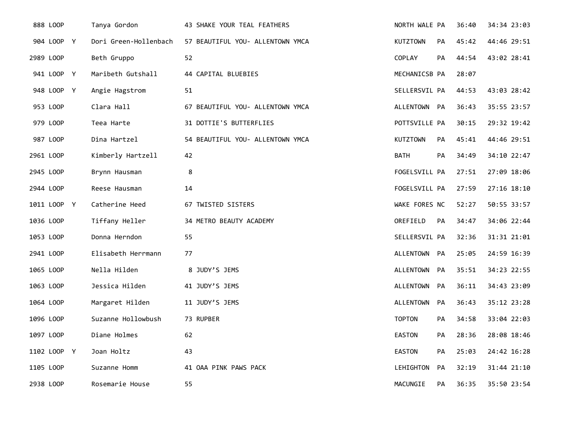| 888 LOOP    | Tanya Gordon          | 43 SHAKE YOUR TEAL FEATHERS      | NORTH WALE PA   |           | 36:40 | 34:34 23:03 |
|-------------|-----------------------|----------------------------------|-----------------|-----------|-------|-------------|
| 904 LOOP Y  | Dori Green-Hollenbach | 57 BEAUTIFUL YOU- ALLENTOWN YMCA | <b>KUTZTOWN</b> | <b>PA</b> | 45:42 | 44:46 29:51 |
| 2989 LOOP   | Beth Gruppo           | 52                               | COPLAY          | PA        | 44:54 | 43:02 28:41 |
| 941 LOOP Y  | Maribeth Gutshall     | 44 CAPITAL BLUEBIES              | MECHANICSB PA   |           | 28:07 |             |
| 948 LOOP Y  | Angie Hagstrom        | 51                               | SELLERSVIL PA   |           | 44:53 | 43:03 28:42 |
| 953 LOOP    | Clara Hall            | 67 BEAUTIFUL YOU- ALLENTOWN YMCA | ALLENTOWN PA    |           | 36:43 | 35:55 23:57 |
| 979 LOOP    | Teea Harte            | 31 DOTTIE'S BUTTERFLIES          | POTTSVILLE PA   |           | 30:15 | 29:32 19:42 |
| 987 LOOP    | Dina Hartzel          | 54 BEAUTIFUL YOU- ALLENTOWN YMCA | <b>KUTZTOWN</b> | <b>PA</b> | 45:41 | 44:46 29:51 |
| 2961 LOOP   | Kimberly Hartzell     | 42                               | BATH            | <b>PA</b> | 34:49 | 34:10 22:47 |
| 2945 LOOP   | Brynn Hausman         | 8                                | FOGELSVILL PA   |           | 27:51 | 27:09 18:06 |
| 2944 LOOP   | Reese Hausman         | 14                               | FOGELSVILL PA   |           | 27:59 | 27:16 18:10 |
| 1011 LOOP Y | Catherine Heed        | 67 TWISTED SISTERS               | WAKE FORES NC   |           | 52:27 | 50:55 33:57 |
| 1036 LOOP   | Tiffany Heller        | 34 METRO BEAUTY ACADEMY          | OREFIELD        | <b>PA</b> | 34:47 | 34:06 22:44 |
| 1053 LOOP   | Donna Herndon         | 55                               | SELLERSVIL PA   |           | 32:36 | 31:31 21:01 |
| 2941 LOOP   | Elisabeth Herrmann    | 77                               | ALLENTOWN PA    |           | 25:05 | 24:59 16:39 |
| 1065 LOOP   | Nella Hilden          | 8 JUDY'S JEMS                    | ALLENTOWN PA    |           | 35:51 | 34:23 22:55 |
| 1063 LOOP   | Jessica Hilden        | 41 JUDY'S JEMS                   | ALLENTOWN PA    |           | 36:11 | 34:43 23:09 |
| 1064 LOOP   | Margaret Hilden       | 11 JUDY'S JEMS                   | ALLENTOWN PA    |           | 36:43 | 35:12 23:28 |
| 1096 LOOP   | Suzanne Hollowbush    | 73 RUPBER                        | <b>TOPTON</b>   | <b>PA</b> | 34:58 | 33:04 22:03 |
| 1097 LOOP   | Diane Holmes          | 62                               | <b>EASTON</b>   | PA        | 28:36 | 28:08 18:46 |
| 1102 LOOP Y | Joan Holtz            | 43                               | <b>EASTON</b>   | PA        | 25:03 | 24:42 16:28 |
| 1105 LOOP   | Suzanne Homm          | 41 OAA PINK PAWS PACK            | LEHIGHTON       | PA        | 32:19 | 31:44 21:10 |
| 2938 LOOP   | Rosemarie House       | 55                               | MACUNGIE        | PA        | 36:35 | 35:50 23:54 |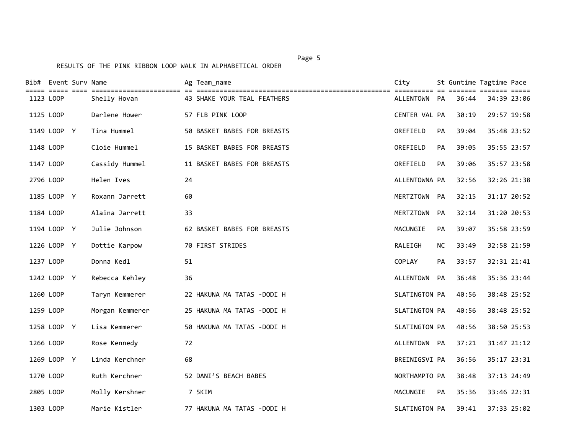|           | Bib# Event Surv Name |                 | Ag Team_name                | City          |           | St Guntime Tagtime Pace | ======= ======= ===== |  |
|-----------|----------------------|-----------------|-----------------------------|---------------|-----------|-------------------------|-----------------------|--|
| 1123 LOOP |                      | Shelly Hovan    | 43 SHAKE YOUR TEAL FEATHERS | ALLENTOWN PA  |           | 36:44                   | 34:39 23:06           |  |
| 1125 LOOP |                      | Darlene Hower   | 57 FLB PINK LOOP            | CENTER VAL PA |           | 30:19                   | 29:57 19:58           |  |
|           | 1149 LOOP Y          | Tina Hummel     | 50 BASKET BABES FOR BREASTS | OREFIELD      | <b>PA</b> | 39:04                   | 35:48 23:52           |  |
| 1148 LOOP |                      | Cloie Hummel    | 15 BASKET BABES FOR BREASTS | OREFIELD      | PA        | 39:05                   | 35:55 23:57           |  |
| 1147 LOOP |                      | Cassidy Hummel  | 11 BASKET BABES FOR BREASTS | OREFIELD      | PA        | 39:06                   | 35:57 23:58           |  |
| 2796 LOOP |                      | Helen Ives      | 24                          | ALLENTOWNA PA |           | 32:56                   | 32:26 21:38           |  |
|           | 1185 LOOP Y          | Roxann Jarrett  | 60                          | MERTZTOWN PA  |           | 32:15                   | 31:17 20:52           |  |
| 1184 LOOP |                      | Alaina Jarrett  | 33                          | MERTZTOWN     | PA        | 32:14                   | 31:20 20:53           |  |
|           | 1194 LOOP Y          | Julie Johnson   | 62 BASKET BABES FOR BREASTS | MACUNGIE      | <b>PA</b> | 39:07                   | 35:58 23:59           |  |
|           | 1226 LOOP Y          | Dottie Karpow   | 70 FIRST STRIDES            | RALEIGH       | <b>NC</b> | 33:49                   | 32:58 21:59           |  |
| 1237 LOOP |                      | Donna Kedl      | 51                          | COPLAY        | <b>PA</b> | 33:57                   | 32:31 21:41           |  |
|           | 1242 LOOP Y          | Rebecca Kehley  | 36                          | ALLENTOWN PA  |           | 36:48                   | 35:36 23:44           |  |
| 1260 LOOP |                      | Taryn Kemmerer  | 22 HAKUNA MA TATAS -DODI H  | SLATINGTON PA |           | 40:56                   | 38:48 25:52           |  |
| 1259 LOOP |                      | Morgan Kemmerer | 25 HAKUNA MA TATAS -DODI H  | SLATINGTON PA |           | 40:56                   | 38:48 25:52           |  |
|           | 1258 LOOP Y          | Lisa Kemmerer   | 50 HAKUNA MA TATAS -DODI H  | SLATINGTON PA |           | 40:56                   | 38:50 25:53           |  |
| 1266 LOOP |                      | Rose Kennedy    | 72                          | ALLENTOWN PA  |           | 37:21                   | 31:47 21:12           |  |
|           | 1269 LOOP Y          | Linda Kerchner  | 68                          | BREINIGSVI PA |           | 36:56                   | 35:17 23:31           |  |
| 1270 LOOP |                      | Ruth Kerchner   | 52 DANI'S BEACH BABES       | NORTHAMPTO PA |           | 38:48                   | 37:13 24:49           |  |
| 2805 LOOP |                      | Molly Kershner  | 7 5KIM                      | MACUNGIE      | PA        | 35:36                   | 33:46 22:31           |  |
| 1303 LOOP |                      | Marie Kistler   | 77 HAKUNA MA TATAS -DODI H  | SLATINGTON PA |           | 39:41                   | 37:33 25:02           |  |

## Page 5 and 2012 and 2012 and 2012 and 2012 and 2012 and 2012 and 2012 and 2012 and 2012 and 2012 and 2012 and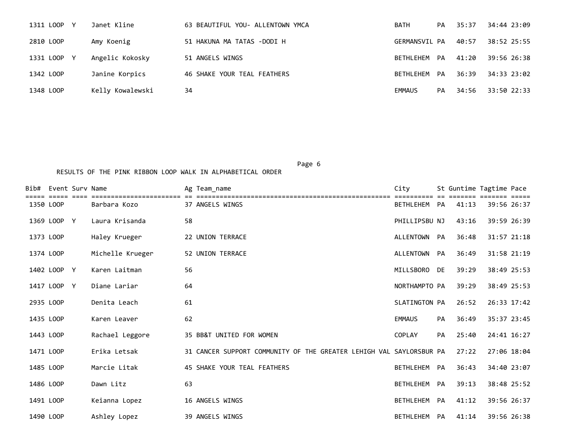| 1311 LOOP<br>V. | Janet Kline      | 63 BEAUTIFUL YOU- ALLENTOWN YMCA | <b>BATH</b>   | PA | 35:37 | 34:44 23:09 |
|-----------------|------------------|----------------------------------|---------------|----|-------|-------------|
| 2810 LOOP       | Amy Koenig       | 51 HAKUNA MA TATAS -DODI H       | GERMANSVIL PA |    | 40:57 | 38:52 25:55 |
| 1331 LOOP Y     | Angelic Kokosky  | 51 ANGELS WINGS                  | BETHLEHEM PA  |    | 41:20 | 39:56 26:38 |
| 1342 LOOP       | Janine Korpics   | 46 SHAKE YOUR TEAL FEATHERS      | BETHLEHEM     | PA | 36:39 | 34:33 23:02 |
| 1348 LOOP       | Kelly Kowalewski | 34                               | EMMAUS        | PA | 34:56 | 33:50 22:33 |

Page 6 and the contract of the contract of the contract of the contract of the contract of the contract of the

| Bib#      | Event Sury Name |                  | Ag Team name                                                        | City          |    |       | St Guntime Tagtime Pace |  |
|-----------|-----------------|------------------|---------------------------------------------------------------------|---------------|----|-------|-------------------------|--|
| 1350 LOOP |                 | Barbara Kozo     | 37 ANGELS WINGS                                                     | BETHLEHEM PA  |    | 41:13 | 39:56 26:37             |  |
|           | 1369 LOOP Y     | Laura Krisanda   | 58                                                                  | PHILLIPSBU NJ |    | 43:16 | 39:59 26:39             |  |
| 1373 LOOP |                 | Haley Krueger    | 22 UNION TERRACE                                                    | ALLENTOWN     | PA | 36:48 | 31:57 21:18             |  |
| 1374 LOOP |                 | Michelle Krueger | 52 UNION TERRACE                                                    | ALLENTOWN PA  |    | 36:49 | 31:58 21:19             |  |
|           | 1402 LOOP Y     | Karen Laitman    | 56                                                                  | MILLSBORO     | DE | 39:29 | 38:49 25:53             |  |
|           | 1417 LOOP Y     | Diane Lariar     | 64                                                                  | NORTHAMPTO PA |    | 39:29 | 38:49 25:53             |  |
| 2935 LOOP |                 | Denita Leach     | 61                                                                  | SLATINGTON PA |    | 26:52 | 26:33 17:42             |  |
| 1435 LOOP |                 | Karen Leaver     | 62                                                                  | <b>EMMAUS</b> | PA | 36:49 | 35:37 23:45             |  |
| 1443 LOOP |                 | Rachael Leggore  | 35 BB&T UNITED FOR WOMEN                                            | <b>COPLAY</b> | PA | 25:40 | 24:41 16:27             |  |
| 1471 LOOP |                 | Erika Letsak     | 31 CANCER SUPPORT COMMUNITY OF THE GREATER LEHIGH VAL SAYLORSBUR PA |               |    | 27:22 | 27:06 18:04             |  |
| 1485 LOOP |                 | Marcie Litak     | 45 SHAKE YOUR TEAL FEATHERS                                         | BETHLEHEM PA  |    | 36:43 | 34:40 23:07             |  |
| 1486 LOOP |                 | Dawn Litz        | 63                                                                  | BETHLEHEM PA  |    | 39:13 | 38:48 25:52             |  |
| 1491 LOOP |                 | Keianna Lopez    | 16 ANGELS WINGS                                                     | BETHLEHEM PA  |    | 41:12 | 39:56 26:37             |  |
| 1490 LOOP |                 | Ashley Lopez     | 39 ANGELS WINGS                                                     | BETHLEHEM     | PA | 41:14 | 39:56 26:38             |  |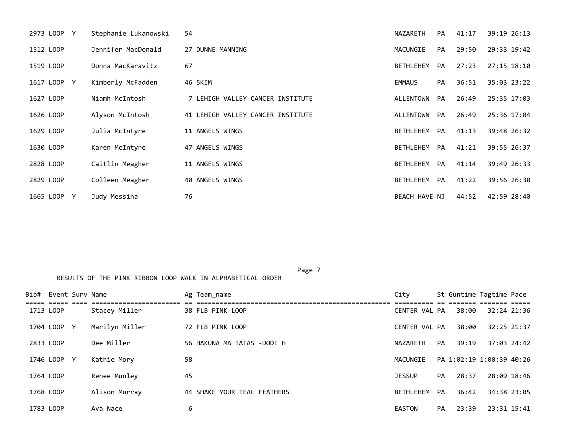| 2973 LOOP<br>Y | Stephanie Lukanowski | 54                                | NAZARETH         | PA        | 41:17 | 39:19 26:13 |
|----------------|----------------------|-----------------------------------|------------------|-----------|-------|-------------|
| 1512 LOOP      | Jennifer MacDonald   | 27 DUNNE MANNING                  | MACUNGIE         | <b>PA</b> | 29:50 | 29:33 19:42 |
| 1519 LOOP      | Donna MacKaravitz    | 67                                | BETHLEHEM        | PA        | 27:23 | 27:15 18:10 |
| 1617 LOOP Y    | Kimberly McFadden    | 46 5KIM                           | EMMAUS           | PA        | 36:51 | 35:03 23:22 |
| 1627 LOOP      | Niamh McIntosh       | 7 LEHIGH VALLEY CANCER INSTITUTE  | ALLENTOWN        | PA        | 26:49 | 25:35 17:03 |
| 1626 LOOP      | Alyson McIntosh      | 41 LEHIGH VALLEY CANCER INSTITUTE | ALLENTOWN        | PA        | 26:49 | 25:36 17:04 |
| 1629 LOOP      | Julia McIntyre       | 11 ANGELS WINGS                   | BETHLEHEM        | PA        | 41:13 | 39:48 26:32 |
| 1630 LOOP      | Karen McIntyre       | 47 ANGELS WINGS                   | BETHLEHEM PA     |           | 41:21 | 39:55 26:37 |
| 2828 LOOP      | Caitlin Meagher      | 11 ANGELS WINGS                   | <b>BETHLEHEM</b> | PA        | 41:14 | 39:49 26:33 |
| 2829 LOOP      | Colleen Meagher      | 40 ANGELS WINGS                   | BETHLEHEM        | PA        | 41:22 | 39:56 26:38 |
| 1665 LOOP<br>Y | Judy Messina         | 76                                | BEACH HAVE NJ    |           | 44:52 | 42:59 28:40 |

Page 7

|           | Bib# Event Surv Name |                | Ag Team_name                | City          |    |       | St Guntime Tagtime Pace  |
|-----------|----------------------|----------------|-----------------------------|---------------|----|-------|--------------------------|
| 1713 LOOP |                      | Stacey Miller  | 38 FLB PINK LOOP            | CENTER VAL PA |    | 38:00 | 32:24 21:36              |
|           | 1704 LOOP Y          | Marilyn Miller | 72 FLB PINK LOOP            | CENTER VAL PA |    | 38:00 | 32:25 21:37              |
| 2833 LOOP |                      | Dee Miller     | 56 HAKUNA MA TATAS -DODI H  | NAZARETH      | PA | 39:19 | 37:03 24:42              |
|           | 1746 LOOP Y          | Kathie Mory    | 58                          | MACUNGIE      |    |       | PA 1:02:19 1:00:39 40:26 |
| 1764 LOOP |                      | Renee Munley   | 45                          | <b>JESSUP</b> | PA | 28:37 | 28:09 18:46              |
| 1768 LOOP |                      | Alison Murray  | 44 SHAKE YOUR TEAL FEATHERS | BETHLEHEM     | PA | 36:42 | 34:38 23:05              |
| 1783 LOOP |                      | Ava Nace       | 6                           | <b>EASTON</b> | PA | 23:39 | 23:31 15:41              |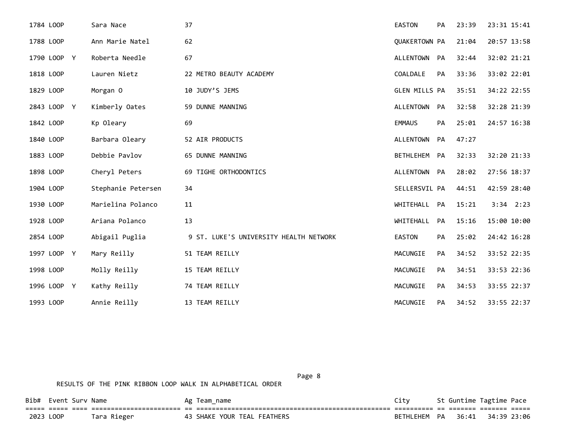| 1784 LOOP   | Sara Nace          | 37                                     | <b>EASTON</b>        | PA | 23:39 | 23:31 15:41   |
|-------------|--------------------|----------------------------------------|----------------------|----|-------|---------------|
| 1788 LOOP   | Ann Marie Natel    | 62                                     | <b>QUAKERTOWN PA</b> |    | 21:04 | 20:57 13:58   |
| 1790 LOOP Y | Roberta Needle     | 67                                     | ALLENTOWN PA         |    | 32:44 | 32:02 21:21   |
| 1818 LOOP   | Lauren Nietz       | 22 METRO BEAUTY ACADEMY                | COALDALE             | PA | 33:36 | 33:02 22:01   |
| 1829 LOOP   | Morgan 0           | 10 JUDY'S JEMS                         | GLEN MILLS PA        |    | 35:51 | 34:22 22:55   |
| 2843 LOOP Y | Kimberly Oates     | 59 DUNNE MANNING                       | ALLENTOWN PA         |    | 32:58 | 32:28 21:39   |
| 1842 LOOP   | Kp Oleary          | 69                                     | <b>EMMAUS</b>        | PA | 25:01 | 24:57 16:38   |
| 1840 LOOP   | Barbara Oleary     | 52 AIR PRODUCTS                        | ALLENTOWN            | PA | 47:27 |               |
| 1883 LOOP   | Debbie Pavlov      | 65 DUNNE MANNING                       | <b>BETHLEHEM</b>     | PA | 32:33 | 32:20 21:33   |
| 1898 LOOP   | Cheryl Peters      | 69 TIGHE ORTHODONTICS                  | ALLENTOWN PA         |    | 28:02 | 27:56 18:37   |
| 1904 LOOP   | Stephanie Petersen | 34                                     | SELLERSVIL PA        |    | 44:51 | 42:59 28:40   |
| 1930 LOOP   | Marielina Polanco  | 11                                     | WHITEHALL            | PA | 15:21 | $3:34$ $2:23$ |
| 1928 LOOP   | Ariana Polanco     | 13                                     | WHITEHALL            | PA | 15:16 | 15:00 10:00   |
| 2854 LOOP   | Abigail Puglia     | 9 ST. LUKE'S UNIVERSITY HEALTH NETWORK | EASTON               | PA | 25:02 | 24:42 16:28   |
| 1997 LOOP Y | Mary Reilly        | 51 TEAM REILLY                         | MACUNGIE             | PA | 34:52 | 33:52 22:35   |
| 1998 LOOP   | Molly Reilly       | 15 TEAM REILLY                         | MACUNGIE             | PA | 34:51 | 33:53 22:36   |
| 1996 LOOP Y | Kathy Reilly       | 74 TEAM REILLY                         | MACUNGIE             | PA | 34:53 | 33:55 22:37   |
| 1993 LOOP   | Annie Reilly       | 13 TEAM REILLY                         | MACUNGIE             | PA | 34:52 | 33:55 22:37   |

Page 8 and 2012 and 2012 and 2012 and 2012 and 2012 and 2012 and 2012 and 2012 and 2012 and 2012 and 2012 and

| Bib#      | Event Surv Name |             | Ag Team name                | <b>City</b> |    | St Guntime Tagtime Pace |             |  |
|-----------|-----------------|-------------|-----------------------------|-------------|----|-------------------------|-------------|--|
|           |                 |             |                             |             |    |                         |             |  |
| 2023 LOOP |                 | Tara Rieger | 43 SHAKE YOUR TEAL FEATHERS | RETHI FHEM  | PA | 36:41                   | 34.39 23.06 |  |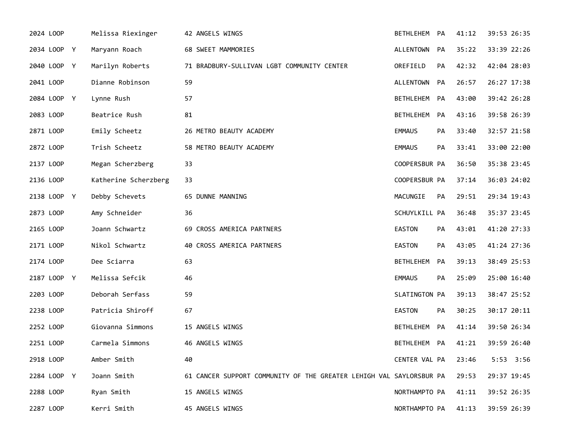| 2024 LOOP   | Melissa Riexinger    | 42 ANGELS WINGS                                                     | BETHLEHEM PA     |           | 41:12 | 39:53 26:35 |
|-------------|----------------------|---------------------------------------------------------------------|------------------|-----------|-------|-------------|
| 2034 LOOP Y | Maryann Roach        | 68 SWEET MAMMORIES                                                  | ALLENTOWN        | PA        | 35:22 | 33:39 22:26 |
| 2040 LOOP Y | Marilyn Roberts      | 71 BRADBURY-SULLIVAN LGBT COMMUNITY CENTER                          | OREFIELD         | PA        | 42:32 | 42:04 28:03 |
| 2041 LOOP   | Dianne Robinson      | 59                                                                  | ALLENTOWN PA     |           | 26:57 | 26:27 17:38 |
| 2084 LOOP Y | Lynne Rush           | 57                                                                  | BETHLEHEM PA     |           | 43:00 | 39:42 26:28 |
| 2083 LOOP   | Beatrice Rush        | 81                                                                  | BETHLEHEM PA     |           | 43:16 | 39:58 26:39 |
| 2871 LOOP   | Emily Scheetz        | 26 METRO BEAUTY ACADEMY                                             | <b>EMMAUS</b>    | <b>PA</b> | 33:40 | 32:57 21:58 |
| 2872 LOOP   | Trish Scheetz        | 58 METRO BEAUTY ACADEMY                                             | <b>EMMAUS</b>    | PA        | 33:41 | 33:00 22:00 |
| 2137 LOOP   | Megan Scherzberg     | 33                                                                  | COOPERSBUR PA    |           | 36:50 | 35:38 23:45 |
| 2136 LOOP   | Katherine Scherzberg | 33                                                                  | COOPERSBUR PA    |           | 37:14 | 36:03 24:02 |
| 2138 LOOP Y | Debby Schevets       | 65 DUNNE MANNING                                                    | MACUNGIE         | PA        | 29:51 | 29:34 19:43 |
| 2873 LOOP   | Amy Schneider        | 36                                                                  | SCHUYLKILL PA    |           | 36:48 | 35:37 23:45 |
| 2165 LOOP   | Joann Schwartz       | 69 CROSS AMERICA PARTNERS                                           | <b>EASTON</b>    | <b>PA</b> | 43:01 | 41:20 27:33 |
| 2171 LOOP   | Nikol Schwartz       | 40 CROSS AMERICA PARTNERS                                           | EASTON           | PA        | 43:05 | 41:24 27:36 |
| 2174 LOOP   | Dee Sciarra          | 63                                                                  | BETHLEHEM        | PA        | 39:13 | 38:49 25:53 |
| 2187 LOOP Y | Melissa Sefcik       | 46                                                                  | <b>EMMAUS</b>    | PA        | 25:09 | 25:00 16:40 |
| 2203 LOOP   | Deborah Serfass      | 59                                                                  | SLATINGTON PA    |           | 39:13 | 38:47 25:52 |
| 2238 LOOP   | Patricia Shiroff     | 67                                                                  | EASTON           | PA        | 30:25 | 30:17 20:11 |
| 2252 LOOP   | Giovanna Simmons     | 15 ANGELS WINGS                                                     | <b>BETHLEHEM</b> | PA        | 41:14 | 39:50 26:34 |
| 2251 LOOP   | Carmela Simmons      | 46 ANGELS WINGS                                                     | BETHLEHEM PA     |           | 41:21 | 39:59 26:40 |
| 2918 LOOP   | Amber Smith          | 40                                                                  | CENTER VAL PA    |           | 23:46 | 5:53 3:56   |
| 2284 LOOP Y | Joann Smith          | 61 CANCER SUPPORT COMMUNITY OF THE GREATER LEHIGH VAL SAYLORSBUR PA |                  |           | 29:53 | 29:37 19:45 |
| 2288 LOOP   | Ryan Smith           | 15 ANGELS WINGS                                                     | NORTHAMPTO PA    |           | 41:11 | 39:52 26:35 |
| 2287 LOOP   | Kerri Smith          | 45 ANGELS WINGS                                                     | NORTHAMPTO PA    |           | 41:13 | 39:59 26:39 |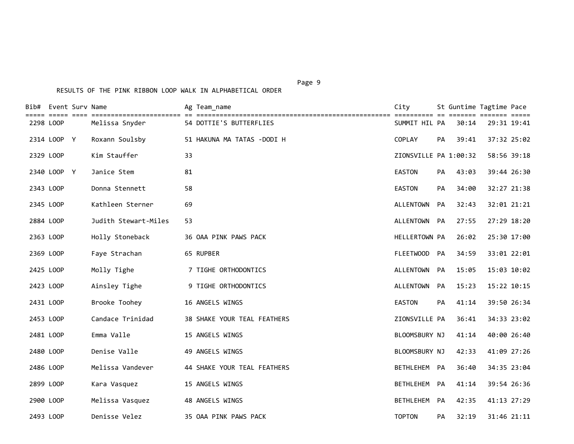|           | Bib# Event Surv Name |                      | Ag Team name                                                                                                                             | City                  |    |       | St Guntime Tagtime Pace |
|-----------|----------------------|----------------------|------------------------------------------------------------------------------------------------------------------------------------------|-----------------------|----|-------|-------------------------|
| 2298 LOOP |                      | Melissa Snyder       | till 1999 1999 sterstillinginging in intertitionellingingingingingingingingingingi 199919991 in 199910 199910<br>54 DOTTIE'S BUTTERFLIES | SUMMIT HIL PA         |    | 30:14 | 29:31 19:41             |
|           | 2314 LOOP Y          | Roxann Soulsby       | 51 HAKUNA MA TATAS -DODI H                                                                                                               | COPLAY                | PA | 39:41 | 37:32 25:02             |
| 2329 LOOP |                      | Kim Stauffer         | 33                                                                                                                                       | ZIONSVILLE PA 1:00:32 |    |       | 58:56 39:18             |
|           | 2340 LOOP Y          | Janice Stem          | 81                                                                                                                                       | <b>EASTON</b>         | PA | 43:03 | 39:44 26:30             |
| 2343 LOOP |                      | Donna Stennett       | 58                                                                                                                                       | <b>EASTON</b>         | PA | 34:00 | 32:27 21:38             |
| 2345 LOOP |                      | Kathleen Sterner     | 69                                                                                                                                       | ALLENTOWN             | PA | 32:43 | 32:01 21:21             |
| 2884 LOOP |                      | Judith Stewart-Miles | 53                                                                                                                                       | ALLENTOWN PA          |    | 27:55 | 27:29 18:20             |
| 2363 LOOP |                      | Holly Stoneback      | 36 OAA PINK PAWS PACK                                                                                                                    | HELLERTOWN PA         |    | 26:02 | 25:30 17:00             |
| 2369 LOOP |                      | Faye Strachan        | 65 RUPBER                                                                                                                                | FLEETWOOD PA          |    | 34:59 | 33:01 22:01             |
| 2425 LOOP |                      | Molly Tighe          | 7 TIGHE ORTHODONTICS                                                                                                                     | ALLENTOWN PA          |    | 15:05 | 15:03 10:02             |
| 2423 LOOP |                      | Ainsley Tighe        | 9 TIGHE ORTHODONTICS                                                                                                                     | ALLENTOWN PA          |    | 15:23 | 15:22 10:15             |
| 2431 LOOP |                      | Brooke Toohey        | 16 ANGELS WINGS                                                                                                                          | EASTON                | PA | 41:14 | 39:50 26:34             |
| 2453 LOOP |                      | Candace Trinidad     | 38 SHAKE YOUR TEAL FEATHERS                                                                                                              | ZIONSVILLE PA         |    | 36:41 | 34:33 23:02             |
| 2481 LOOP |                      | Emma Valle           | 15 ANGELS WINGS                                                                                                                          | BLOOMSBURY NJ         |    | 41:14 | 40:00 26:40             |
| 2480 LOOP |                      | Denise Valle         | 49 ANGELS WINGS                                                                                                                          | BLOOMSBURY NJ         |    | 42:33 | 41:09 27:26             |
| 2486 LOOP |                      | Melissa Vandever     | 44 SHAKE YOUR TEAL FEATHERS                                                                                                              | BETHLEHEM PA          |    | 36:40 | 34:35 23:04             |
| 2899 LOOP |                      | Kara Vasquez         | 15 ANGELS WINGS                                                                                                                          | <b>BETHLEHEM</b>      | PA | 41:14 | 39:54 26:36             |
| 2900 LOOP |                      | Melissa Vasquez      | 48 ANGELS WINGS                                                                                                                          | BETHLEHEM PA          |    | 42:35 | 41:13 27:29             |
| 2493 LOOP |                      | Denisse Velez        | 35 OAA PINK PAWS PACK                                                                                                                    | <b>TOPTON</b>         | PA | 32:19 | 31:46 21:11             |

Page 9 - Page 9 - Page 9 - Page 9 - Page 9 - Page 9 - Page 9 - Page 9 - Page 9 - Page 9